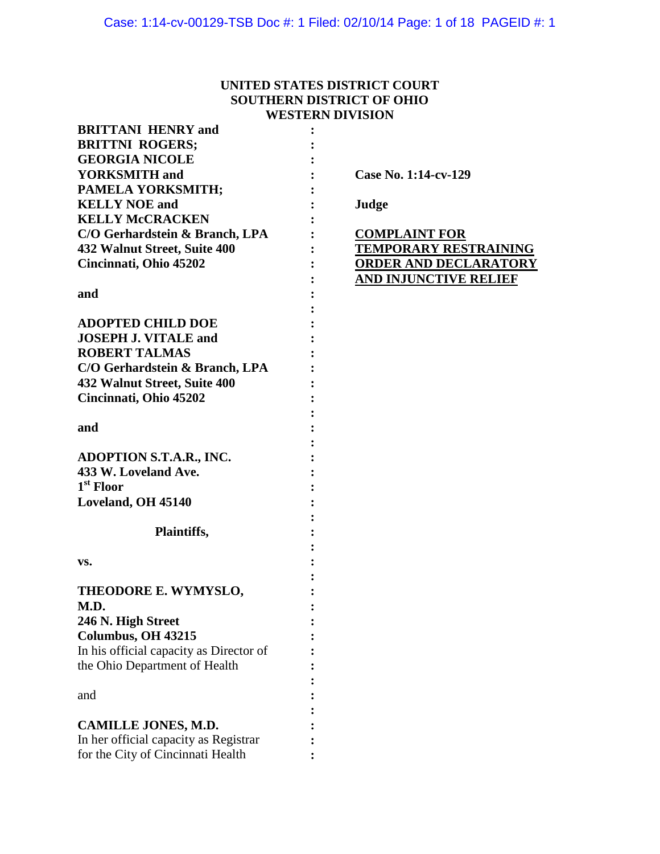# **UNITED STATES DISTRICT COURT SOUTHERN DISTRICT OF OHIO WESTERN DIVISION**

| <b>BRITTANI HENRY and</b>               |                              |
|-----------------------------------------|------------------------------|
| <b>BRITTNI ROGERS;</b>                  |                              |
| <b>GEORGIA NICOLE</b>                   |                              |
| <b>YORKSMITH</b> and                    | Case No. 1:14-cv-129         |
| PAMELA YORKSMITH;                       |                              |
| <b>KELLY NOE and</b>                    | Judge                        |
| <b>KELLY McCRACKEN</b>                  |                              |
| C/O Gerhardstein & Branch, LPA          | <b>COMPLAINT FOR</b>         |
| 432 Walnut Street, Suite 400            | <b>TEMPORARY RESTRAINING</b> |
| Cincinnati, Ohio 45202                  | <b>ORDER AND DECLARATORY</b> |
|                                         | <b>AND INJUNCTIVE RELIEF</b> |
| and                                     |                              |
|                                         |                              |
| <b>ADOPTED CHILD DOE</b>                |                              |
| <b>JOSEPH J. VITALE and</b>             |                              |
| <b>ROBERT TALMAS</b>                    |                              |
|                                         |                              |
| C/O Gerhardstein & Branch, LPA          |                              |
| 432 Walnut Street, Suite 400            |                              |
| Cincinnati, Ohio 45202                  |                              |
|                                         |                              |
| and                                     |                              |
|                                         |                              |
| <b>ADOPTION S.T.A.R., INC.</b>          |                              |
| 433 W. Loveland Ave.                    |                              |
| 1 <sup>st</sup> Floor                   |                              |
| Loveland, OH 45140                      |                              |
|                                         |                              |
| Plaintiffs,                             |                              |
|                                         |                              |
| VS.                                     |                              |
|                                         |                              |
| THEODORE E. WYMYSLO,                    |                              |
| M.D.                                    |                              |
| 246 N. High Street                      |                              |
| Columbus, OH 43215                      |                              |
| In his official capacity as Director of |                              |
| the Ohio Department of Health           |                              |
|                                         |                              |
| and                                     |                              |
|                                         |                              |
| <b>CAMILLE JONES, M.D.</b>              |                              |
| In her official capacity as Registrar   |                              |
| for the City of Cincinnati Health       |                              |
|                                         |                              |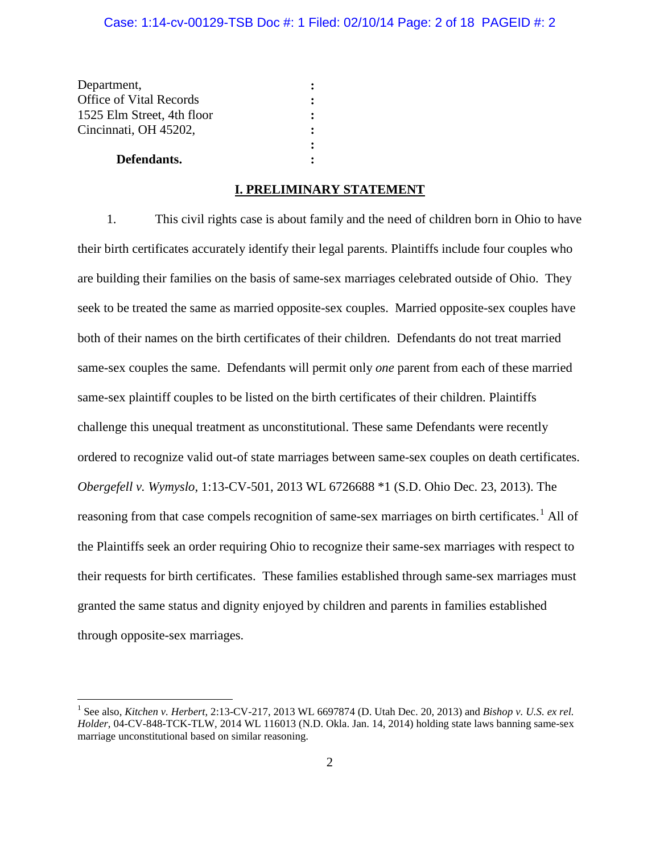| Department,                    |                |
|--------------------------------|----------------|
| <b>Office of Vital Records</b> |                |
| 1525 Elm Street, 4th floor     |                |
| Cincinnati, OH 45202,          |                |
|                                | $\ddot{\cdot}$ |
| Defendants.                    |                |

# **I. PRELIMINARY STATEMENT**

1. This civil rights case is about family and the need of children born in Ohio to have their birth certificates accurately identify their legal parents. Plaintiffs include four couples who are building their families on the basis of same-sex marriages celebrated outside of Ohio. They seek to be treated the same as married opposite-sex couples. Married opposite-sex couples have both of their names on the birth certificates of their children. Defendants do not treat married same-sex couples the same. Defendants will permit only *one* parent from each of these married same-sex plaintiff couples to be listed on the birth certificates of their children. Plaintiffs challenge this unequal treatment as unconstitutional. These same Defendants were recently ordered to recognize valid out-of state marriages between same-sex couples on death certificates. *Obergefell v. Wymyslo*, 1:13-CV-501, 2013 WL 6726688 \*1 (S.D. Ohio Dec. 23, 2013). The reasoning from that case compels recognition of same-sex marriages on birth certificates.<sup>[1](#page-1-0)</sup> All of the Plaintiffs seek an order requiring Ohio to recognize their same-sex marriages with respect to their requests for birth certificates. These families established through same-sex marriages must granted the same status and dignity enjoyed by children and parents in families established through opposite-sex marriages.

<span id="page-1-0"></span> <sup>1</sup> See also, *Kitchen v. Herbert*, 2:13-CV-217, 2013 WL 6697874 (D. Utah Dec. 20, 2013) and *Bishop v. U.S. ex rel. Holder*, 04-CV-848-TCK-TLW, 2014 WL 116013 (N.D. Okla. Jan. 14, 2014) holding state laws banning same-sex marriage unconstitutional based on similar reasoning.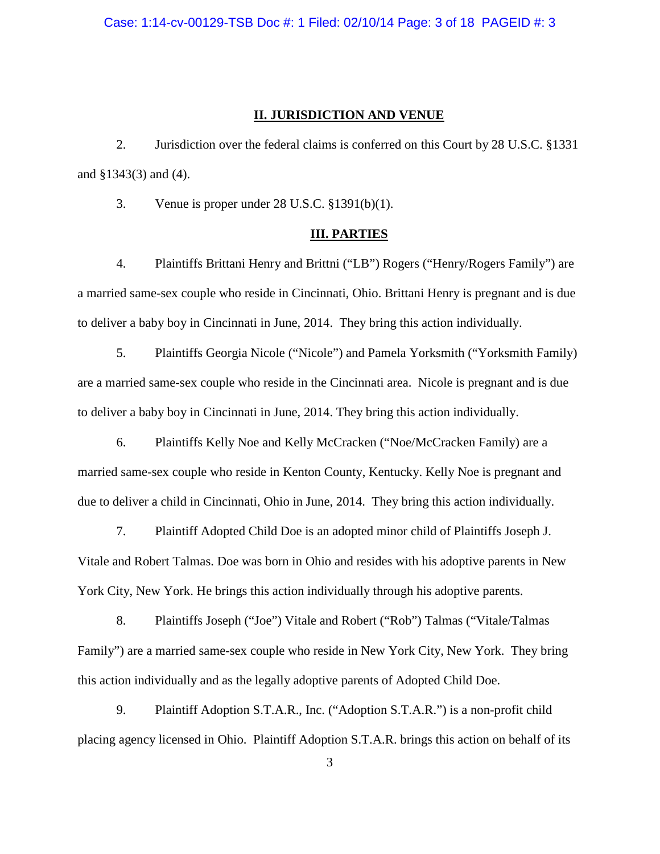Case: 1:14-cv-00129-TSB Doc #: 1 Filed: 02/10/14 Page: 3 of 18 PAGEID #: 3

## **II. JURISDICTION AND VENUE**

2. Jurisdiction over the federal claims is conferred on this Court by 28 U.S.C. §1331 and §1343(3) and (4).

3. Venue is proper under 28 U.S.C. §1391(b)(1).

### **III. PARTIES**

4. Plaintiffs Brittani Henry and Brittni ("LB") Rogers ("Henry/Rogers Family") are a married same-sex couple who reside in Cincinnati, Ohio. Brittani Henry is pregnant and is due to deliver a baby boy in Cincinnati in June, 2014. They bring this action individually.

5. Plaintiffs Georgia Nicole ("Nicole") and Pamela Yorksmith ("Yorksmith Family) are a married same-sex couple who reside in the Cincinnati area. Nicole is pregnant and is due to deliver a baby boy in Cincinnati in June, 2014. They bring this action individually.

6. Plaintiffs Kelly Noe and Kelly McCracken ("Noe/McCracken Family) are a married same-sex couple who reside in Kenton County, Kentucky. Kelly Noe is pregnant and due to deliver a child in Cincinnati, Ohio in June, 2014. They bring this action individually.

7. Plaintiff Adopted Child Doe is an adopted minor child of Plaintiffs Joseph J. Vitale and Robert Talmas. Doe was born in Ohio and resides with his adoptive parents in New York City, New York. He brings this action individually through his adoptive parents.

8. Plaintiffs Joseph ("Joe") Vitale and Robert ("Rob") Talmas ("Vitale/Talmas Family") are a married same-sex couple who reside in New York City, New York. They bring this action individually and as the legally adoptive parents of Adopted Child Doe.

9. Plaintiff Adoption S.T.A.R., Inc. ("Adoption S.T.A.R.") is a non-profit child placing agency licensed in Ohio. Plaintiff Adoption S.T.A.R. brings this action on behalf of its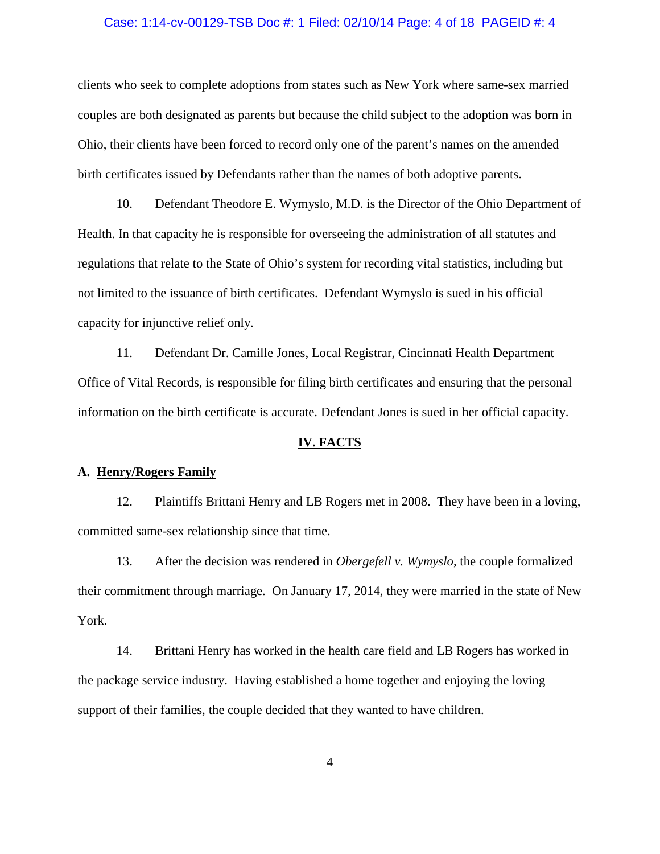#### Case: 1:14-cv-00129-TSB Doc #: 1 Filed: 02/10/14 Page: 4 of 18 PAGEID #: 4

clients who seek to complete adoptions from states such as New York where same-sex married couples are both designated as parents but because the child subject to the adoption was born in Ohio, their clients have been forced to record only one of the parent's names on the amended birth certificates issued by Defendants rather than the names of both adoptive parents.

10. Defendant Theodore E. Wymyslo, M.D. is the Director of the Ohio Department of Health. In that capacity he is responsible for overseeing the administration of all statutes and regulations that relate to the State of Ohio's system for recording vital statistics, including but not limited to the issuance of birth certificates. Defendant Wymyslo is sued in his official capacity for injunctive relief only.

11. Defendant Dr. Camille Jones, Local Registrar, Cincinnati Health Department Office of Vital Records, is responsible for filing birth certificates and ensuring that the personal information on the birth certificate is accurate. Defendant Jones is sued in her official capacity.

### **IV. FACTS**

## **A. Henry/Rogers Family**

12. Plaintiffs Brittani Henry and LB Rogers met in 2008. They have been in a loving, committed same-sex relationship since that time.

13. After the decision was rendered in *Obergefell v. Wymyslo*, the couple formalized their commitment through marriage. On January 17, 2014, they were married in the state of New York.

14. Brittani Henry has worked in the health care field and LB Rogers has worked in the package service industry. Having established a home together and enjoying the loving support of their families, the couple decided that they wanted to have children.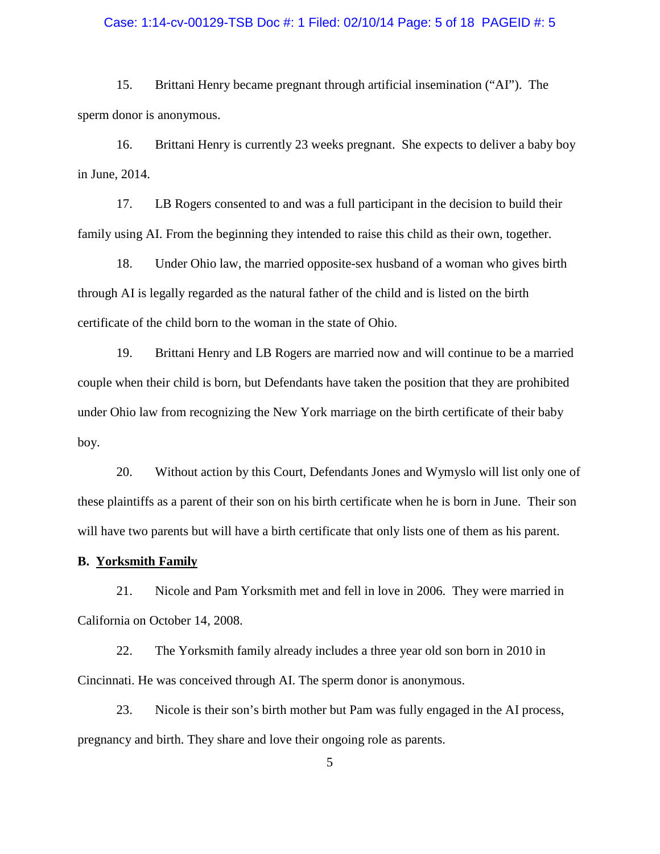#### Case: 1:14-cv-00129-TSB Doc #: 1 Filed: 02/10/14 Page: 5 of 18 PAGEID #: 5

15. Brittani Henry became pregnant through artificial insemination ("AI"). The sperm donor is anonymous.

16. Brittani Henry is currently 23 weeks pregnant. She expects to deliver a baby boy in June, 2014.

17. LB Rogers consented to and was a full participant in the decision to build their family using AI. From the beginning they intended to raise this child as their own, together.

18. Under Ohio law, the married opposite-sex husband of a woman who gives birth through AI is legally regarded as the natural father of the child and is listed on the birth certificate of the child born to the woman in the state of Ohio.

19. Brittani Henry and LB Rogers are married now and will continue to be a married couple when their child is born, but Defendants have taken the position that they are prohibited under Ohio law from recognizing the New York marriage on the birth certificate of their baby boy.

20. Without action by this Court, Defendants Jones and Wymyslo will list only one of these plaintiffs as a parent of their son on his birth certificate when he is born in June. Their son will have two parents but will have a birth certificate that only lists one of them as his parent.

## **B. Yorksmith Family**

21. Nicole and Pam Yorksmith met and fell in love in 2006. They were married in California on October 14, 2008.

22. The Yorksmith family already includes a three year old son born in 2010 in Cincinnati. He was conceived through AI. The sperm donor is anonymous.

23. Nicole is their son's birth mother but Pam was fully engaged in the AI process, pregnancy and birth. They share and love their ongoing role as parents.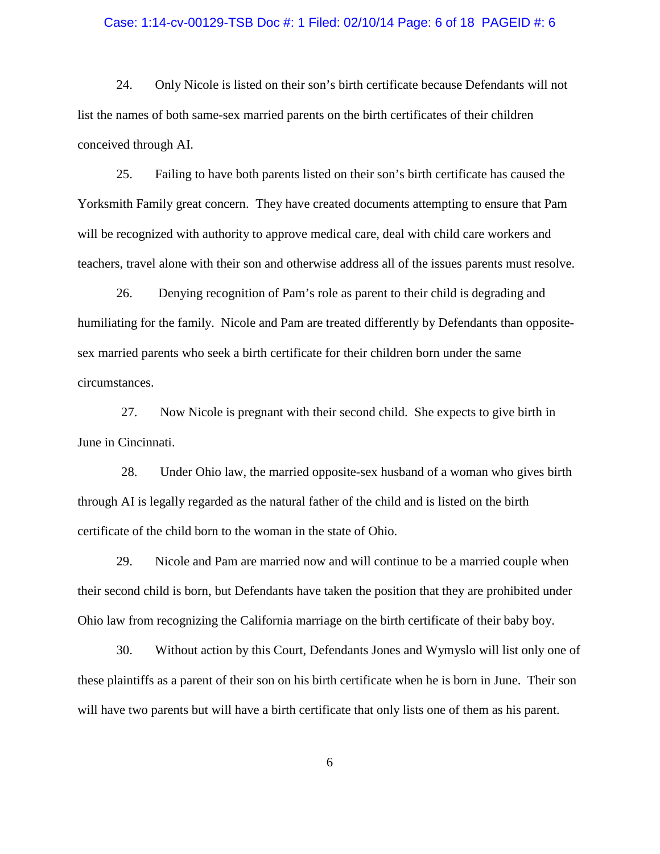#### Case: 1:14-cv-00129-TSB Doc #: 1 Filed: 02/10/14 Page: 6 of 18 PAGEID #: 6

24. Only Nicole is listed on their son's birth certificate because Defendants will not list the names of both same-sex married parents on the birth certificates of their children conceived through AI.

25. Failing to have both parents listed on their son's birth certificate has caused the Yorksmith Family great concern. They have created documents attempting to ensure that Pam will be recognized with authority to approve medical care, deal with child care workers and teachers, travel alone with their son and otherwise address all of the issues parents must resolve.

26. Denying recognition of Pam's role as parent to their child is degrading and humiliating for the family. Nicole and Pam are treated differently by Defendants than oppositesex married parents who seek a birth certificate for their children born under the same circumstances.

27. Now Nicole is pregnant with their second child. She expects to give birth in June in Cincinnati.

28. Under Ohio law, the married opposite-sex husband of a woman who gives birth through AI is legally regarded as the natural father of the child and is listed on the birth certificate of the child born to the woman in the state of Ohio.

29. Nicole and Pam are married now and will continue to be a married couple when their second child is born, but Defendants have taken the position that they are prohibited under Ohio law from recognizing the California marriage on the birth certificate of their baby boy.

30. Without action by this Court, Defendants Jones and Wymyslo will list only one of these plaintiffs as a parent of their son on his birth certificate when he is born in June. Their son will have two parents but will have a birth certificate that only lists one of them as his parent.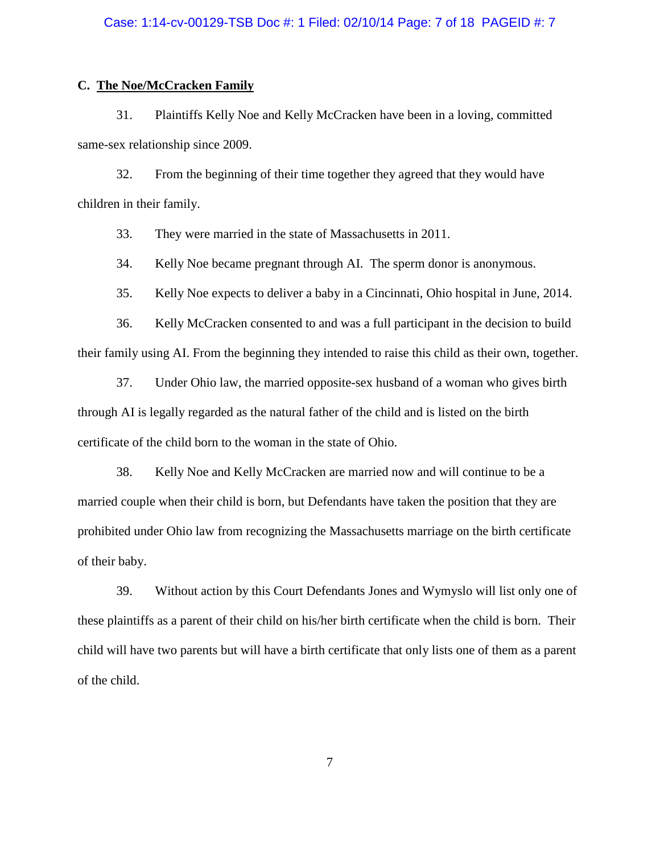#### Case: 1:14-cv-00129-TSB Doc #: 1 Filed: 02/10/14 Page: 7 of 18 PAGEID #: 7

## **C. The Noe/McCracken Family**

31. Plaintiffs Kelly Noe and Kelly McCracken have been in a loving, committed same-sex relationship since 2009.

32. From the beginning of their time together they agreed that they would have children in their family.

33. They were married in the state of Massachusetts in 2011.

34. Kelly Noe became pregnant through AI. The sperm donor is anonymous.

35. Kelly Noe expects to deliver a baby in a Cincinnati, Ohio hospital in June, 2014.

36. Kelly McCracken consented to and was a full participant in the decision to build their family using AI. From the beginning they intended to raise this child as their own, together.

37. Under Ohio law, the married opposite-sex husband of a woman who gives birth through AI is legally regarded as the natural father of the child and is listed on the birth certificate of the child born to the woman in the state of Ohio.

38. Kelly Noe and Kelly McCracken are married now and will continue to be a married couple when their child is born, but Defendants have taken the position that they are prohibited under Ohio law from recognizing the Massachusetts marriage on the birth certificate of their baby.

39. Without action by this Court Defendants Jones and Wymyslo will list only one of these plaintiffs as a parent of their child on his/her birth certificate when the child is born. Their child will have two parents but will have a birth certificate that only lists one of them as a parent of the child.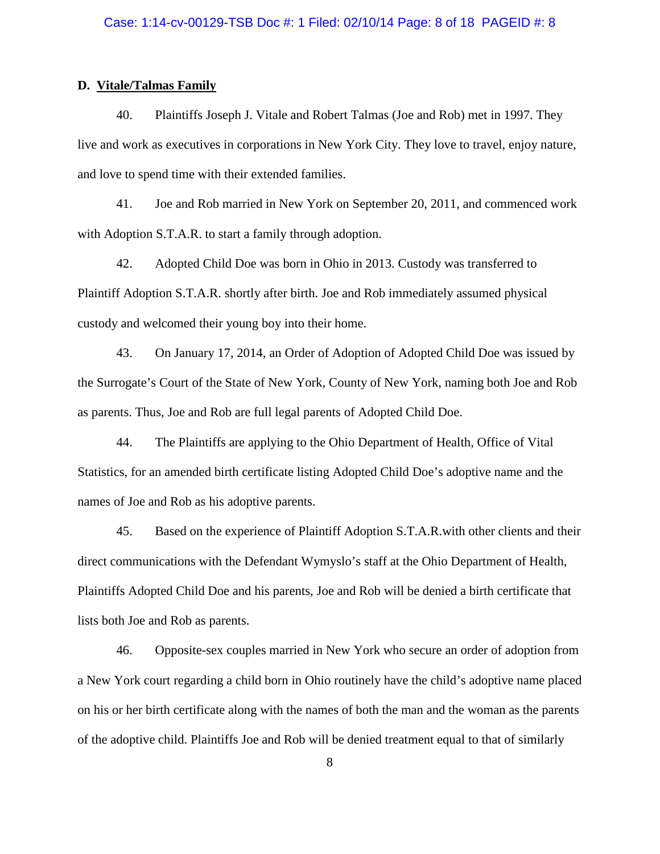## **D. Vitale/Talmas Family**

40. Plaintiffs Joseph J. Vitale and Robert Talmas (Joe and Rob) met in 1997. They live and work as executives in corporations in New York City. They love to travel, enjoy nature, and love to spend time with their extended families.

41. Joe and Rob married in New York on September 20, 2011, and commenced work with Adoption S.T.A.R. to start a family through adoption.

42. Adopted Child Doe was born in Ohio in 2013. Custody was transferred to Plaintiff Adoption S.T.A.R. shortly after birth. Joe and Rob immediately assumed physical custody and welcomed their young boy into their home.

43. On January 17, 2014, an Order of Adoption of Adopted Child Doe was issued by the Surrogate's Court of the State of New York, County of New York, naming both Joe and Rob as parents. Thus, Joe and Rob are full legal parents of Adopted Child Doe.

44. The Plaintiffs are applying to the Ohio Department of Health, Office of Vital Statistics, for an amended birth certificate listing Adopted Child Doe's adoptive name and the names of Joe and Rob as his adoptive parents.

45. Based on the experience of Plaintiff Adoption S.T.A.R.with other clients and their direct communications with the Defendant Wymyslo's staff at the Ohio Department of Health, Plaintiffs Adopted Child Doe and his parents, Joe and Rob will be denied a birth certificate that lists both Joe and Rob as parents.

46. Opposite-sex couples married in New York who secure an order of adoption from a New York court regarding a child born in Ohio routinely have the child's adoptive name placed on his or her birth certificate along with the names of both the man and the woman as the parents of the adoptive child. Plaintiffs Joe and Rob will be denied treatment equal to that of similarly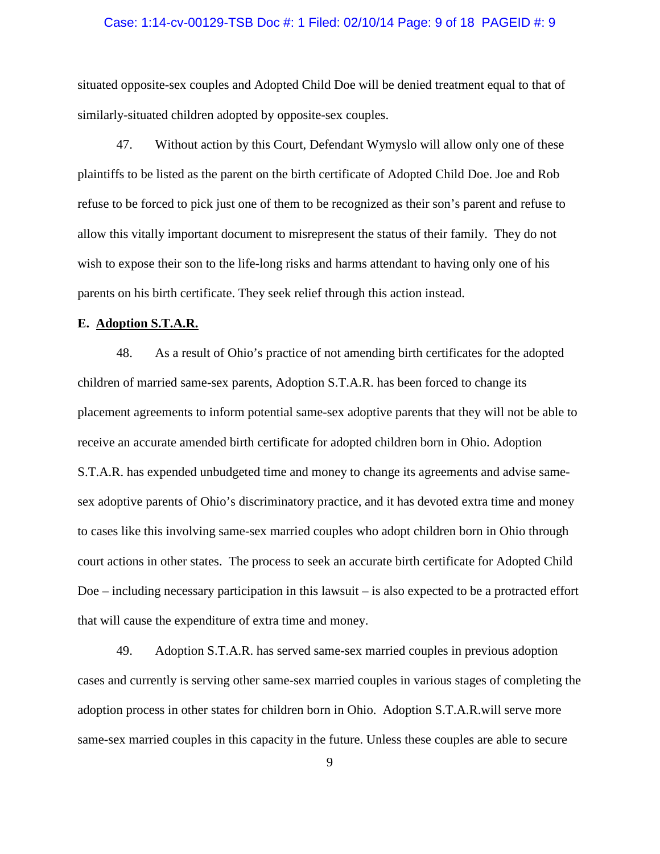#### Case: 1:14-cv-00129-TSB Doc #: 1 Filed: 02/10/14 Page: 9 of 18 PAGEID #: 9

situated opposite-sex couples and Adopted Child Doe will be denied treatment equal to that of similarly-situated children adopted by opposite-sex couples.

47. Without action by this Court, Defendant Wymyslo will allow only one of these plaintiffs to be listed as the parent on the birth certificate of Adopted Child Doe. Joe and Rob refuse to be forced to pick just one of them to be recognized as their son's parent and refuse to allow this vitally important document to misrepresent the status of their family. They do not wish to expose their son to the life-long risks and harms attendant to having only one of his parents on his birth certificate. They seek relief through this action instead.

## **E. Adoption S.T.A.R.**

48. As a result of Ohio's practice of not amending birth certificates for the adopted children of married same-sex parents, Adoption S.T.A.R. has been forced to change its placement agreements to inform potential same-sex adoptive parents that they will not be able to receive an accurate amended birth certificate for adopted children born in Ohio. Adoption S.T.A.R. has expended unbudgeted time and money to change its agreements and advise samesex adoptive parents of Ohio's discriminatory practice, and it has devoted extra time and money to cases like this involving same-sex married couples who adopt children born in Ohio through court actions in other states. The process to seek an accurate birth certificate for Adopted Child Doe – including necessary participation in this lawsuit – is also expected to be a protracted effort that will cause the expenditure of extra time and money.

49. Adoption S.T.A.R. has served same-sex married couples in previous adoption cases and currently is serving other same-sex married couples in various stages of completing the adoption process in other states for children born in Ohio. Adoption S.T.A.R.will serve more same-sex married couples in this capacity in the future. Unless these couples are able to secure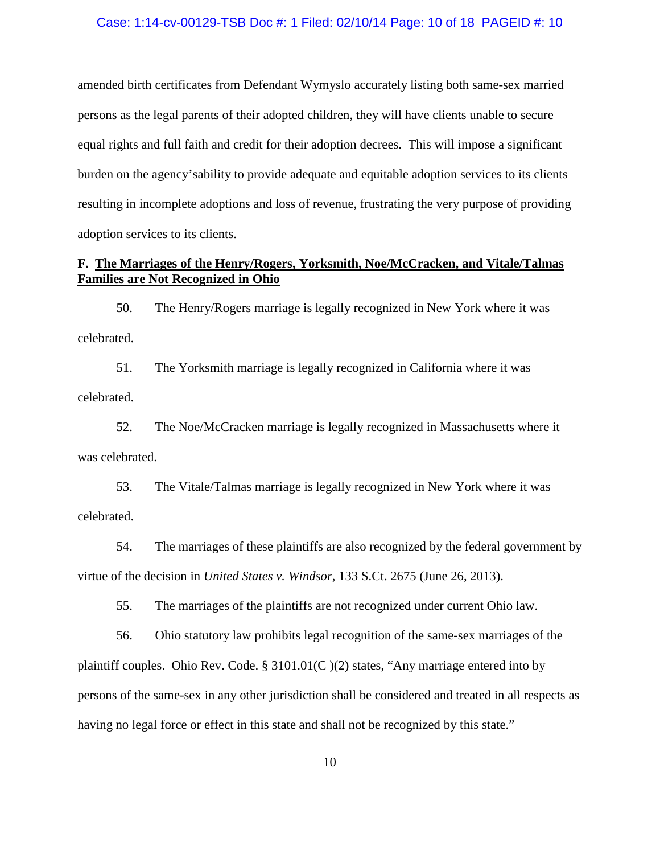### Case: 1:14-cv-00129-TSB Doc #: 1 Filed: 02/10/14 Page: 10 of 18 PAGEID #: 10

amended birth certificates from Defendant Wymyslo accurately listing both same-sex married persons as the legal parents of their adopted children, they will have clients unable to secure equal rights and full faith and credit for their adoption decrees. This will impose a significant burden on the agency'sability to provide adequate and equitable adoption services to its clients resulting in incomplete adoptions and loss of revenue, frustrating the very purpose of providing adoption services to its clients.

# **F. The Marriages of the Henry/Rogers, Yorksmith, Noe/McCracken, and Vitale/Talmas Families are Not Recognized in Ohio**

50. The Henry/Rogers marriage is legally recognized in New York where it was celebrated.

51. The Yorksmith marriage is legally recognized in California where it was celebrated.

52. The Noe/McCracken marriage is legally recognized in Massachusetts where it was celebrated.

53. The Vitale/Talmas marriage is legally recognized in New York where it was celebrated.

54. The marriages of these plaintiffs are also recognized by the federal government by virtue of the decision in *United States v. Windsor*, 133 S.Ct. 2675 (June 26, 2013).

55. The marriages of the plaintiffs are not recognized under current Ohio law.

56. Ohio statutory law prohibits legal recognition of the same-sex marriages of the plaintiff couples. Ohio Rev. Code. § 3101.01(C )(2) states, "Any marriage entered into by persons of the same-sex in any other jurisdiction shall be considered and treated in all respects as having no legal force or effect in this state and shall not be recognized by this state."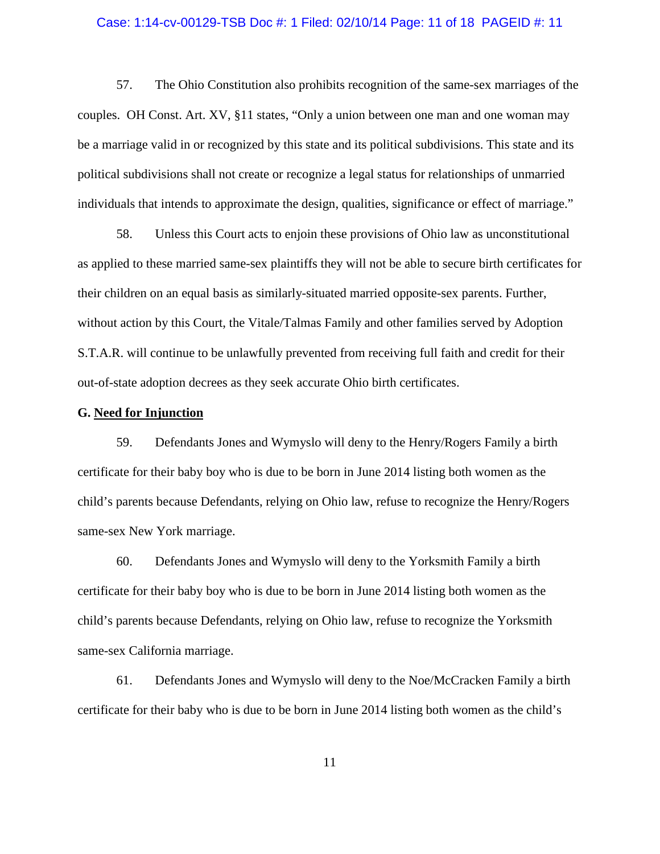#### Case: 1:14-cv-00129-TSB Doc #: 1 Filed: 02/10/14 Page: 11 of 18 PAGEID #: 11

57. The Ohio Constitution also prohibits recognition of the same-sex marriages of the couples. OH Const. Art. XV, §11 states, "Only a union between one man and one woman may be a marriage valid in or recognized by this state and its political subdivisions. This state and its political subdivisions shall not create or recognize a legal status for relationships of unmarried individuals that intends to approximate the design, qualities, significance or effect of marriage."

58. Unless this Court acts to enjoin these provisions of Ohio law as unconstitutional as applied to these married same-sex plaintiffs they will not be able to secure birth certificates for their children on an equal basis as similarly-situated married opposite-sex parents. Further, without action by this Court, the Vitale/Talmas Family and other families served by Adoption S.T.A.R. will continue to be unlawfully prevented from receiving full faith and credit for their out-of-state adoption decrees as they seek accurate Ohio birth certificates.

## **G. Need for Injunction**

59. Defendants Jones and Wymyslo will deny to the Henry/Rogers Family a birth certificate for their baby boy who is due to be born in June 2014 listing both women as the child's parents because Defendants, relying on Ohio law, refuse to recognize the Henry/Rogers same-sex New York marriage.

60. Defendants Jones and Wymyslo will deny to the Yorksmith Family a birth certificate for their baby boy who is due to be born in June 2014 listing both women as the child's parents because Defendants, relying on Ohio law, refuse to recognize the Yorksmith same-sex California marriage.

61. Defendants Jones and Wymyslo will deny to the Noe/McCracken Family a birth certificate for their baby who is due to be born in June 2014 listing both women as the child's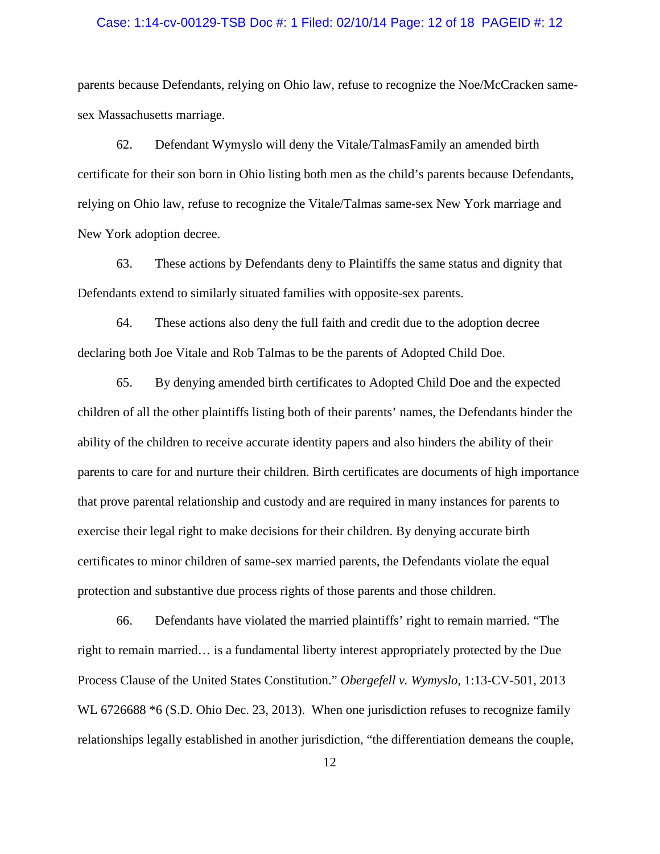### Case: 1:14-cv-00129-TSB Doc #: 1 Filed: 02/10/14 Page: 12 of 18 PAGEID #: 12

parents because Defendants, relying on Ohio law, refuse to recognize the Noe/McCracken samesex Massachusetts marriage.

62. Defendant Wymyslo will deny the Vitale/TalmasFamily an amended birth certificate for their son born in Ohio listing both men as the child's parents because Defendants, relying on Ohio law, refuse to recognize the Vitale/Talmas same-sex New York marriage and New York adoption decree.

63. These actions by Defendants deny to Plaintiffs the same status and dignity that Defendants extend to similarly situated families with opposite-sex parents.

64. These actions also deny the full faith and credit due to the adoption decree declaring both Joe Vitale and Rob Talmas to be the parents of Adopted Child Doe.

65. By denying amended birth certificates to Adopted Child Doe and the expected children of all the other plaintiffs listing both of their parents' names, the Defendants hinder the ability of the children to receive accurate identity papers and also hinders the ability of their parents to care for and nurture their children. Birth certificates are documents of high importance that prove parental relationship and custody and are required in many instances for parents to exercise their legal right to make decisions for their children. By denying accurate birth certificates to minor children of same-sex married parents, the Defendants violate the equal protection and substantive due process rights of those parents and those children.

66. Defendants have violated the married plaintiffs' right to remain married. "The right to remain married… is a fundamental liberty interest appropriately protected by the Due Process Clause of the United States Constitution." *Obergefell v. Wymyslo*, 1:13-CV-501, 2013 WL 6726688  $*$ 6 (S.D. Ohio Dec. 23, 2013). When one jurisdiction refuses to recognize family relationships legally established in another jurisdiction, "the differentiation demeans the couple,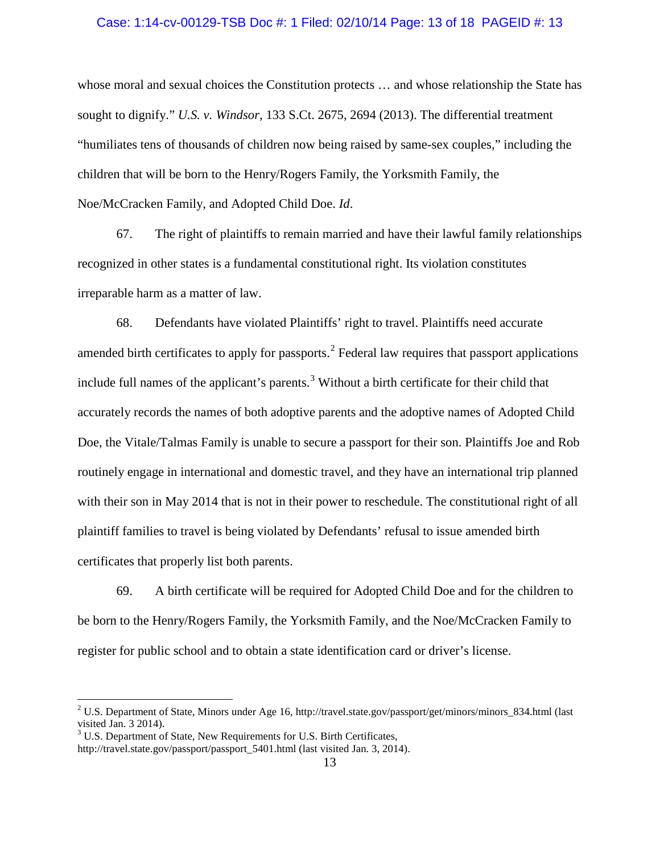### Case: 1:14-cv-00129-TSB Doc #: 1 Filed: 02/10/14 Page: 13 of 18 PAGEID #: 13

whose moral and sexual choices the Constitution protects ... and whose relationship the State has sought to dignify." *U.S. v. Windsor*, 133 S.Ct. 2675, 2694 (2013). The differential treatment "humiliates tens of thousands of children now being raised by same-sex couples," including the children that will be born to the Henry/Rogers Family, the Yorksmith Family, the Noe/McCracken Family, and Adopted Child Doe. *Id*.

67. The right of plaintiffs to remain married and have their lawful family relationships recognized in other states is a fundamental constitutional right. Its violation constitutes irreparable harm as a matter of law.

68. Defendants have violated Plaintiffs' right to travel. Plaintiffs need accurate amended birth certificates to apply for passports.<sup>[2](#page-12-0)</sup> Federal law requires that passport applications include full names of the applicant's parents.<sup>[3](#page-12-1)</sup> Without a birth certificate for their child that accurately records the names of both adoptive parents and the adoptive names of Adopted Child Doe, the Vitale/Talmas Family is unable to secure a passport for their son. Plaintiffs Joe and Rob routinely engage in international and domestic travel, and they have an international trip planned with their son in May 2014 that is not in their power to reschedule. The constitutional right of all plaintiff families to travel is being violated by Defendants' refusal to issue amended birth certificates that properly list both parents.

69. A birth certificate will be required for Adopted Child Doe and for the children to be born to the Henry/Rogers Family, the Yorksmith Family, and the Noe/McCracken Family to register for public school and to obtain a state identification card or driver's license.

<span id="page-12-0"></span> $2$  U.S. Department of State, Minors under Age 16, http://travel.state.gov/passport/get/minors/minors\_834.html (last visited Jan. 3 2014).

<span id="page-12-1"></span> $3 \text{ U.S. Department of State, New Requirements for U.S. Birth Certificates, }$ http://travel.state.gov/passport/passport\_5401.html (last visited Jan. 3, 2014).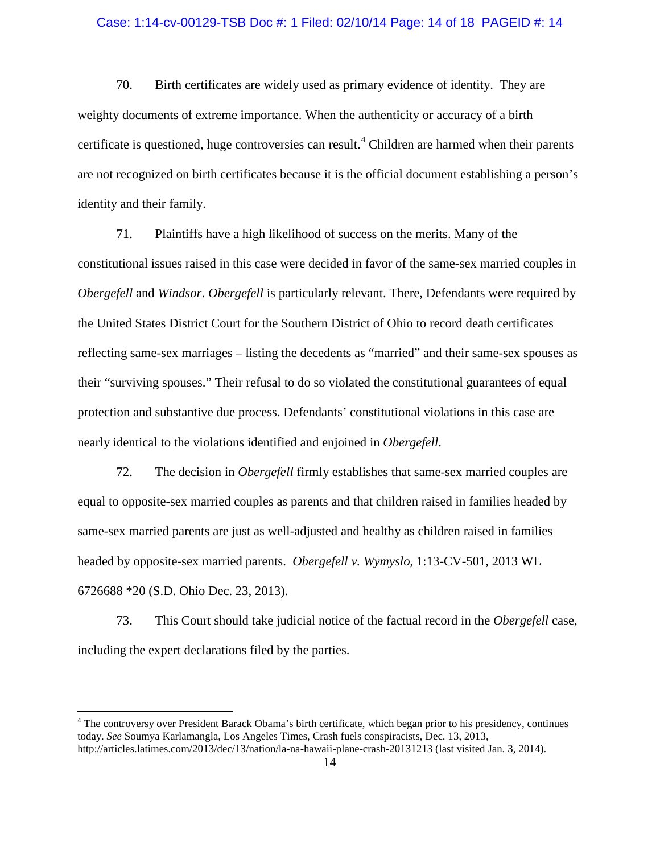### Case: 1:14-cv-00129-TSB Doc #: 1 Filed: 02/10/14 Page: 14 of 18 PAGEID #: 14

70. Birth certificates are widely used as primary evidence of identity. They are weighty documents of extreme importance. When the authenticity or accuracy of a birth certificate is questioned, huge controversies can result.<sup>[4](#page-13-0)</sup> Children are harmed when their parents are not recognized on birth certificates because it is the official document establishing a person's identity and their family.

71. Plaintiffs have a high likelihood of success on the merits. Many of the constitutional issues raised in this case were decided in favor of the same-sex married couples in *Obergefell* and *Windsor*. *Obergefell* is particularly relevant. There, Defendants were required by the United States District Court for the Southern District of Ohio to record death certificates reflecting same-sex marriages – listing the decedents as "married" and their same-sex spouses as their "surviving spouses." Their refusal to do so violated the constitutional guarantees of equal protection and substantive due process. Defendants' constitutional violations in this case are nearly identical to the violations identified and enjoined in *Obergefell*.

72. The decision in *Obergefell* firmly establishes that same-sex married couples are equal to opposite-sex married couples as parents and that children raised in families headed by same-sex married parents are just as well-adjusted and healthy as children raised in families headed by opposite-sex married parents. *Obergefell v. Wymyslo*, 1:13-CV-501, 2013 WL 6726688 \*20 (S.D. Ohio Dec. 23, 2013).

73. This Court should take judicial notice of the factual record in the *Obergefell* case, including the expert declarations filed by the parties.

<span id="page-13-0"></span><sup>&</sup>lt;sup>4</sup> The controversy over President Barack Obama's birth certificate, which began prior to his presidency, continues today. *See* Soumya Karlamangla, Los Angeles Times, Crash fuels conspiracists, Dec. 13, 2013, http://articles.latimes.com/2013/dec/13/nation/la-na-hawaii-plane-crash-20131213 (last visited Jan. 3, 2014).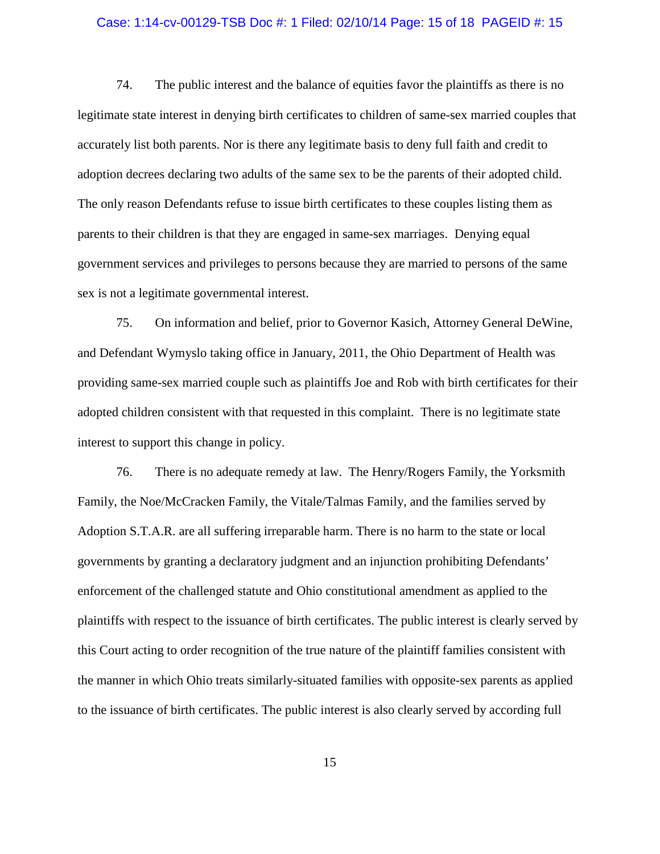### Case: 1:14-cv-00129-TSB Doc #: 1 Filed: 02/10/14 Page: 15 of 18 PAGEID #: 15

74. The public interest and the balance of equities favor the plaintiffs as there is no legitimate state interest in denying birth certificates to children of same-sex married couples that accurately list both parents. Nor is there any legitimate basis to deny full faith and credit to adoption decrees declaring two adults of the same sex to be the parents of their adopted child. The only reason Defendants refuse to issue birth certificates to these couples listing them as parents to their children is that they are engaged in same-sex marriages. Denying equal government services and privileges to persons because they are married to persons of the same sex is not a legitimate governmental interest.

75. On information and belief, prior to Governor Kasich, Attorney General DeWine, and Defendant Wymyslo taking office in January, 2011, the Ohio Department of Health was providing same-sex married couple such as plaintiffs Joe and Rob with birth certificates for their adopted children consistent with that requested in this complaint. There is no legitimate state interest to support this change in policy.

76. There is no adequate remedy at law. The Henry/Rogers Family, the Yorksmith Family, the Noe/McCracken Family, the Vitale/Talmas Family, and the families served by Adoption S.T.A.R. are all suffering irreparable harm. There is no harm to the state or local governments by granting a declaratory judgment and an injunction prohibiting Defendants' enforcement of the challenged statute and Ohio constitutional amendment as applied to the plaintiffs with respect to the issuance of birth certificates. The public interest is clearly served by this Court acting to order recognition of the true nature of the plaintiff families consistent with the manner in which Ohio treats similarly-situated families with opposite-sex parents as applied to the issuance of birth certificates. The public interest is also clearly served by according full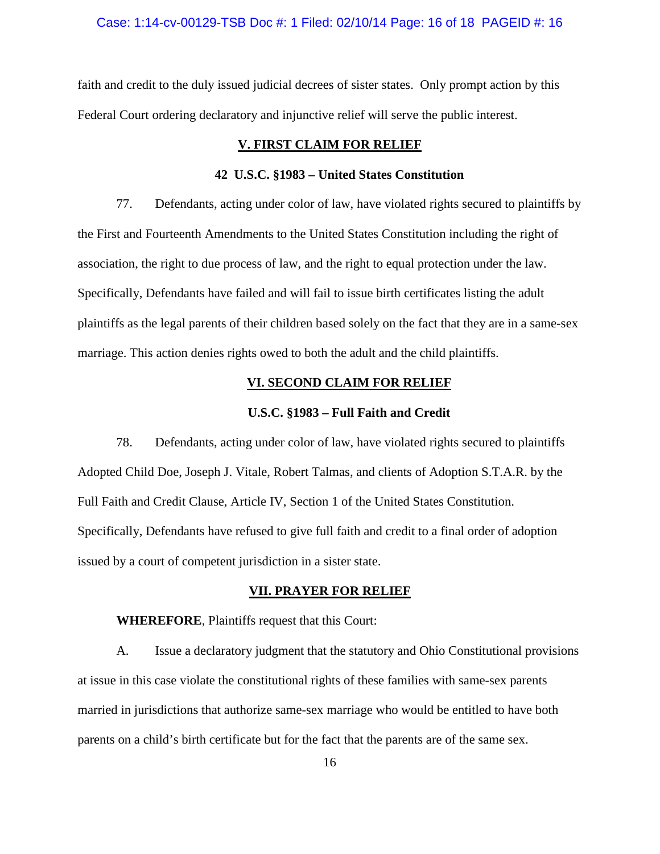#### Case: 1:14-cv-00129-TSB Doc #: 1 Filed: 02/10/14 Page: 16 of 18 PAGEID #: 16

faith and credit to the duly issued judicial decrees of sister states. Only prompt action by this Federal Court ordering declaratory and injunctive relief will serve the public interest.

## **V. FIRST CLAIM FOR RELIEF**

### **42 U.S.C. §1983 – United States Constitution**

77. Defendants, acting under color of law, have violated rights secured to plaintiffs by the First and Fourteenth Amendments to the United States Constitution including the right of association, the right to due process of law, and the right to equal protection under the law. Specifically, Defendants have failed and will fail to issue birth certificates listing the adult plaintiffs as the legal parents of their children based solely on the fact that they are in a same-sex marriage. This action denies rights owed to both the adult and the child plaintiffs.

## **VI. SECOND CLAIM FOR RELIEF**

## **U.S.C. §1983 – Full Faith and Credit**

78. Defendants, acting under color of law, have violated rights secured to plaintiffs Adopted Child Doe, Joseph J. Vitale, Robert Talmas, and clients of Adoption S.T.A.R. by the Full Faith and Credit Clause, Article IV, Section 1 of the United States Constitution. Specifically, Defendants have refused to give full faith and credit to a final order of adoption issued by a court of competent jurisdiction in a sister state.

## **VII. PRAYER FOR RELIEF**

**WHEREFORE**, Plaintiffs request that this Court:

A. Issue a declaratory judgment that the statutory and Ohio Constitutional provisions at issue in this case violate the constitutional rights of these families with same-sex parents married in jurisdictions that authorize same-sex marriage who would be entitled to have both parents on a child's birth certificate but for the fact that the parents are of the same sex.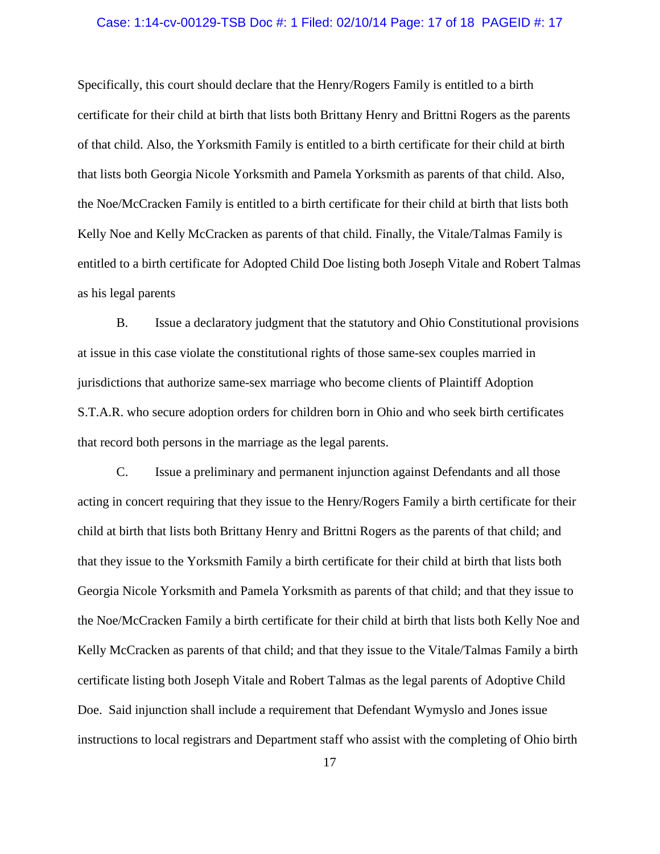### Case: 1:14-cv-00129-TSB Doc #: 1 Filed: 02/10/14 Page: 17 of 18 PAGEID #: 17

Specifically, this court should declare that the Henry/Rogers Family is entitled to a birth certificate for their child at birth that lists both Brittany Henry and Brittni Rogers as the parents of that child. Also, the Yorksmith Family is entitled to a birth certificate for their child at birth that lists both Georgia Nicole Yorksmith and Pamela Yorksmith as parents of that child. Also, the Noe/McCracken Family is entitled to a birth certificate for their child at birth that lists both Kelly Noe and Kelly McCracken as parents of that child. Finally, the Vitale/Talmas Family is entitled to a birth certificate for Adopted Child Doe listing both Joseph Vitale and Robert Talmas as his legal parents

B. Issue a declaratory judgment that the statutory and Ohio Constitutional provisions at issue in this case violate the constitutional rights of those same-sex couples married in jurisdictions that authorize same-sex marriage who become clients of Plaintiff Adoption S.T.A.R. who secure adoption orders for children born in Ohio and who seek birth certificates that record both persons in the marriage as the legal parents.

C. Issue a preliminary and permanent injunction against Defendants and all those acting in concert requiring that they issue to the Henry/Rogers Family a birth certificate for their child at birth that lists both Brittany Henry and Brittni Rogers as the parents of that child; and that they issue to the Yorksmith Family a birth certificate for their child at birth that lists both Georgia Nicole Yorksmith and Pamela Yorksmith as parents of that child; and that they issue to the Noe/McCracken Family a birth certificate for their child at birth that lists both Kelly Noe and Kelly McCracken as parents of that child; and that they issue to the Vitale/Talmas Family a birth certificate listing both Joseph Vitale and Robert Talmas as the legal parents of Adoptive Child Doe. Said injunction shall include a requirement that Defendant Wymyslo and Jones issue instructions to local registrars and Department staff who assist with the completing of Ohio birth